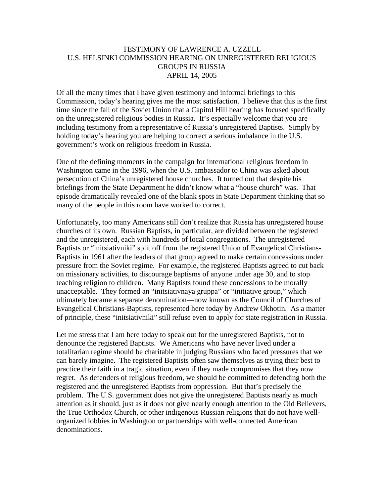## TESTIMONY OF LAWRENCE A. UZZELL U.S. HELSINKI COMMISSION HEARING ON UNREGISTERED RELIGIOUS GROUPS IN RUSSIA APRIL 14, 2005

Of all the many times that I have given testimony and informal briefings to this Commission, today's hearing gives me the most satisfaction. I believe that this is the first time since the fall of the Soviet Union that a Capitol Hill hearing has focused specifically on the unregistered religious bodies in Russia. It's especially welcome that you are including testimony from a representative of Russia's unregistered Baptists. Simply by holding today's hearing you are helping to correct a serious imbalance in the U.S. government's work on religious freedom in Russia.

One of the defining moments in the campaign for international religious freedom in Washington came in the 1996, when the U.S. ambassador to China was asked about persecution of China's unregistered house churches. It turned out that despite his briefings from the State Department he didn't know what a "house church" was. That episode dramatically revealed one of the blank spots in State Department thinking that so many of the people in this room have worked to correct.

Unfortunately, too many Americans still don't realize that Russia has unregistered house churches of its own. Russian Baptists, in particular, are divided between the registered and the unregistered, each with hundreds of local congregations. The unregistered Baptists or "initsiativniki" split off from the registered Union of Evangelical Christians-Baptists in 1961 after the leaders of that group agreed to make certain concessions under pressure from the Soviet regime. For example, the registered Baptists agreed to cut back on missionary activities, to discourage baptisms of anyone under age 30, and to stop teaching religion to children. Many Baptists found these concessions to be morally unacceptable. They formed an "initsiativnaya gruppa" or "initiative group," which ultimately became a separate denomination—now known as the Council of Churches of Evangelical Christians-Baptists, represented here today by Andrew Okhotin. As a matter of principle, these "initsiativniki" still refuse even to apply for state registration in Russia.

Let me stress that I am here today to speak out for the unregistered Baptists, not to denounce the registered Baptists. We Americans who have never lived under a totalitarian regime should be charitable in judging Russians who faced pressures that we can barely imagine. The registered Baptists often saw themselves as trying their best to practice their faith in a tragic situation, even if they made compromises that they now regret. As defenders of religious freedom, we should be committed to defending both the registered and the unregistered Baptists from oppression. But that's precisely the problem. The U.S. government does not give the unregistered Baptists nearly as much attention as it should, just as it does not give nearly enough attention to the Old Believers, the True Orthodox Church, or other indigenous Russian religions that do not have wellorganized lobbies in Washington or partnerships with well-connected American denominations.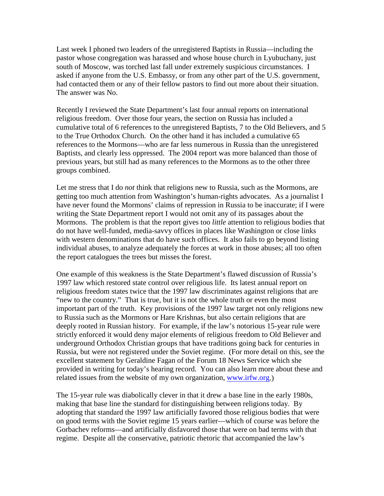Last week I phoned two leaders of the unregistered Baptists in Russia—including the pastor whose congregation was harassed and whose house church in Lyubuchany, just south of Moscow, was torched last fall under extremely suspicious circumstances. I asked if anyone from the U.S. Embassy, or from any other part of the U.S. government, had contacted them or any of their fellow pastors to find out more about their situation. The answer was No.

Recently I reviewed the State Department's last four annual reports on international religious freedom. Over those four years, the section on Russia has included a cumulative total of 6 references to the unregistered Baptists, 7 to the Old Believers, and 5 to the True Orthodox Church. On the other hand it has included a cumulative 65 references to the Mormons—who are far less numerous in Russia than the unregistered Baptists, and clearly less oppressed. The 2004 report was more balanced than those of previous years, but still had as many references to the Mormons as to the other three groups combined.

Let me stress that I do *not* think that religions new to Russia, such as the Mormons, are getting too much attention from Washington's human-rights advocates. As a journalist I have never found the Mormons' claims of repression in Russia to be inaccurate; if I were writing the State Department report I would not omit any of its passages about the Mormons. The problem is that the report gives too *little* attention to religious bodies that do not have well-funded, media-savvy offices in places like Washington or close links with western denominations that do have such offices. It also fails to go beyond listing individual abuses, to analyze adequately the forces at work in those abuses; all too often the report catalogues the trees but misses the forest.

One example of this weakness is the State Department's flawed discussion of Russia's 1997 law which restored state control over religious life. Its latest annual report on religious freedom states twice that the 1997 law discriminates against religions that are "new to the country." That is true, but it is not the whole truth or even the most important part of the truth. Key provisions of the 1997 law target not only religions new to Russia such as the Mormons or Hare Krishnas, but also certain religions that are deeply rooted in Russian history. For example, if the law's notorious 15-year rule were strictly enforced it would deny major elements of religious freedom to Old Believer and underground Orthodox Christian groups that have traditions going back for centuries in Russia, but were not registered under the Soviet regime. (For more detail on this, see the excellent statement by Geraldine Fagan of the Forum 18 News Service which she provided in writing for today's hearing record. You can also learn more about these and related issues from the website of my own organization, [www.irfw.org.](http://www.irfw.org/))

The 15-year rule was diabolically clever in that it drew a base line in the early 1980s, making that base line the standard for distinguishing between religions today. By adopting that standard the 1997 law artificially favored those religious bodies that were on good terms with the Soviet regime 15 years earlier—which of course was before the Gorbachev reforms—and artificially disfavored those that were on bad terms with that regime. Despite all the conservative, patriotic rhetoric that accompanied the law's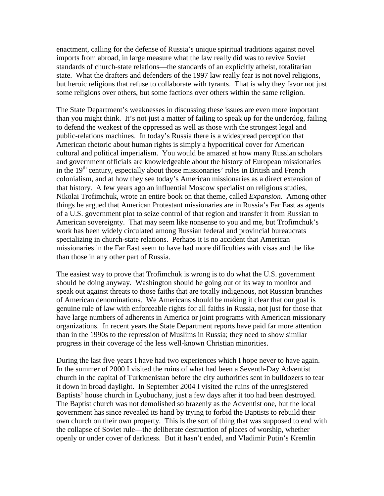enactment, calling for the defense of Russia's unique spiritual traditions against novel imports from abroad, in large measure what the law really did was to revive Soviet standards of church-state relations—the standards of an explicitly atheist, totalitarian state. What the drafters and defenders of the 1997 law really fear is not novel religions, but heroic religions that refuse to collaborate with tyrants. That is why they favor not just some religions over others, but some factions over others within the same religion.

The State Department's weaknesses in discussing these issues are even more important than you might think. It's not just a matter of failing to speak up for the underdog, failing to defend the weakest of the oppressed as well as those with the strongest legal and public-relations machines. In today's Russia there is a widespread perception that American rhetoric about human rights is simply a hypocritical cover for American cultural and political imperialism. You would be amazed at how many Russian scholars and government officials are knowledgeable about the history of European missionaries in the  $19<sup>th</sup>$  century, especially about those missionaries' roles in British and French colonialism, and at how they see today's American missionaries as a direct extension of that history. A few years ago an influential Moscow specialist on religious studies, Nikolai Trofimchuk, wrote an entire book on that theme, called *Expansion*. Among other things he argued that American Protestant missionaries are in Russia's Far East as agents of a U.S. government plot to seize control of that region and transfer it from Russian to American sovereignty. That may seem like nonsense to you and me, but Trofimchuk's work has been widely circulated among Russian federal and provincial bureaucrats specializing in church-state relations. Perhaps it is no accident that American missionaries in the Far East seem to have had more difficulties with visas and the like than those in any other part of Russia.

The easiest way to prove that Trofimchuk is wrong is to do what the U.S. government should be doing anyway. Washington should be going out of its way to monitor and speak out against threats to those faiths that are totally indigenous, not Russian branches of American denominations. We Americans should be making it clear that our goal is genuine rule of law with enforceable rights for all faiths in Russia, not just for those that have large numbers of adherents in America or joint programs with American missionary organizations. In recent years the State Department reports have paid far more attention than in the 1990s to the repression of Muslims in Russia; they need to show similar progress in their coverage of the less well-known Christian minorities.

During the last five years I have had two experiences which I hope never to have again. In the summer of 2000 I visited the ruins of what had been a Seventh-Day Adventist church in the capital of Turkmenistan before the city authorities sent in bulldozers to tear it down in broad daylight. In September 2004 I visited the ruins of the unregistered Baptists' house church in Lyubuchany, just a few days after it too had been destroyed. The Baptist church was not demolished so brazenly as the Adventist one, but the local government has since revealed its hand by trying to forbid the Baptists to rebuild their own church on their own property. This is the sort of thing that was supposed to end with the collapse of Soviet rule—the deliberate destruction of places of worship, whether openly or under cover of darkness. But it hasn't ended, and Vladimir Putin's Kremlin